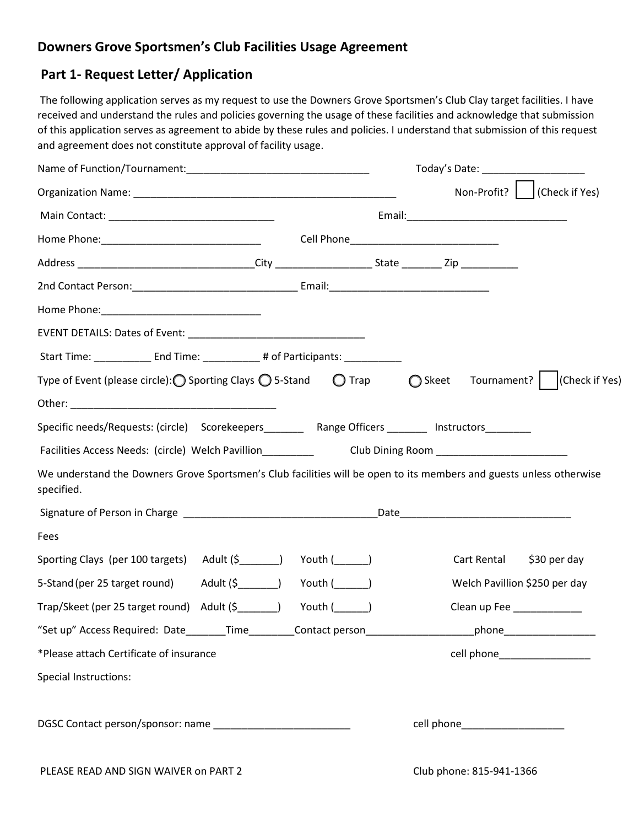## **Downers Grove Sportsmen's Club Facilities Usage Agreement**

# **Part 1- Request Letter/ Application**

The following application serves as my request to use the Downers Grove Sportsmen's Club Clay target facilities. I have received and understand the rules and policies governing the usage of these facilities and acknowledge that submission of this application serves as agreement to abide by these rules and policies. I understand that submission of this request and agreement does not constitute approval of facility usage.

|                                                                                                                                           | Today's Date: _____________________                                                                                                                                                                                            |
|-------------------------------------------------------------------------------------------------------------------------------------------|--------------------------------------------------------------------------------------------------------------------------------------------------------------------------------------------------------------------------------|
|                                                                                                                                           | Non-Profit?   (Check if Yes)                                                                                                                                                                                                   |
|                                                                                                                                           | Email: Email: Email: Email: Email: Email: Email: Email: Email: Email: Email: Email: Email: Email: Email: Email: Email: Email: Email: Email: Email: Email: Email: Email: Email: Email: Email: Email: Email: Email: Email: Email |
|                                                                                                                                           |                                                                                                                                                                                                                                |
|                                                                                                                                           |                                                                                                                                                                                                                                |
|                                                                                                                                           |                                                                                                                                                                                                                                |
|                                                                                                                                           |                                                                                                                                                                                                                                |
|                                                                                                                                           |                                                                                                                                                                                                                                |
| Start Time: _____________________End Time: _________________# of Participants: ____________________                                       |                                                                                                                                                                                                                                |
| Type of Event (please circle): $\bigcirc$ Sporting Clays $\bigcirc$ 5-Stand $\bigcirc$ Trap $\bigcirc$ Skeet Tournament?   (Check if Yes) |                                                                                                                                                                                                                                |
|                                                                                                                                           |                                                                                                                                                                                                                                |
| Specific needs/Requests: (circle) Scorekeepers Range Officers Instructors National Association Correlation Co                             |                                                                                                                                                                                                                                |
|                                                                                                                                           |                                                                                                                                                                                                                                |
| We understand the Downers Grove Sportsmen's Club facilities will be open to its members and guests unless otherwise<br>specified.         |                                                                                                                                                                                                                                |
|                                                                                                                                           |                                                                                                                                                                                                                                |
| Fees                                                                                                                                      |                                                                                                                                                                                                                                |
| Sporting Clays (per 100 targets) Adult (\$ ______) Youth (_____)                                                                          | Cart Rental<br>\$30 per day                                                                                                                                                                                                    |
| 5-Stand (per 25 target round) Adult (\$ (11) Youth ( 1222)                                                                                | Welch Pavillion \$250 per day                                                                                                                                                                                                  |
| Trap/Skeet (per 25 target round) Adult (\$<br>Youth $($                                                                                   | Clean up Fee ___________                                                                                                                                                                                                       |
| "Set up" Access Required: Date_______Time________Contact person_________________                                                          | _phone________________________                                                                                                                                                                                                 |
| *Please attach Certificate of insurance                                                                                                   | cell phone___________________                                                                                                                                                                                                  |
| <b>Special Instructions:</b>                                                                                                              |                                                                                                                                                                                                                                |
|                                                                                                                                           | cell phone______________________                                                                                                                                                                                               |
| PLEASE READ AND SIGN WAIVER on PART 2                                                                                                     | Club phone: 815-941-1366                                                                                                                                                                                                       |